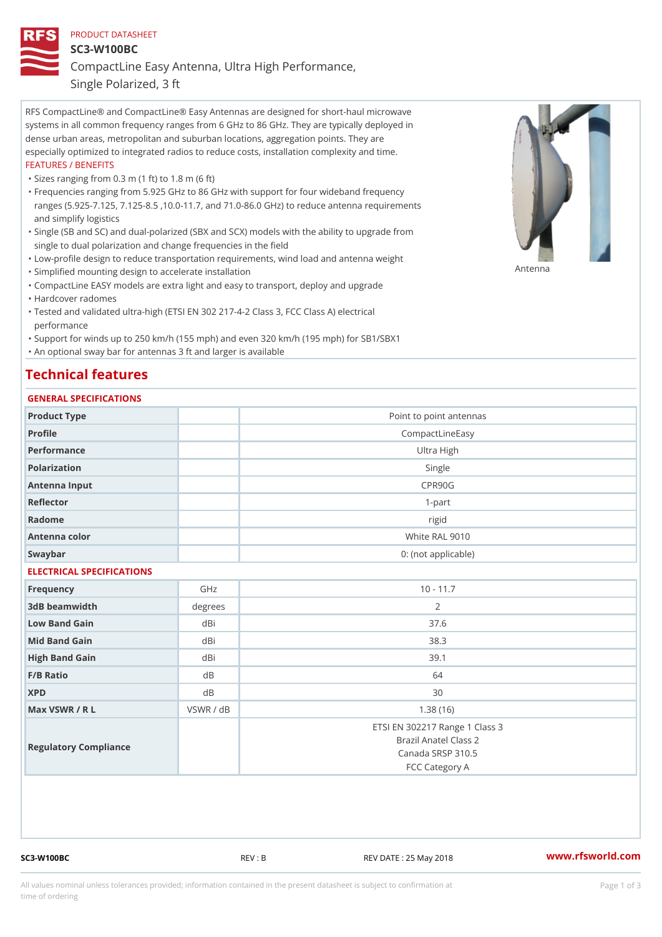## PRODUCT DATASHEET SC3-W100BC CompactLine Easy Antenna, Ultra High Performance,

Single Polarized, 3 ft

RFS CompactLine® and CompactLine® Easy Antennas are designed for short-haul microwave systems in all common frequency ranges from 6 GHz to 86 GHz. They are typically deployed in dense urban areas, metropolitan and suburban locations, aggregation points. They are especially optimized to integrated radios to reduce costs, installation complexity and time. FEATURES / BENEFITS

"Sizes ranging from 0.3 m (1 ft) to 1.8 m (6 ft)

- Frequencies ranging from 5.925 GHz to 86 GHz with support for four wideband frequency " ranges (5.925-7.125, 7.125-8.5 ,10.0-11.7, and 71.0-86.0 GHz) to reduce antenna requirements and simplify logistics
- Single (SB and SC) and dual-polarized (SBX and SCX) models with the ability to upgrade from " single to dual polarization and change frequencies in the field
- "Low-profile design to reduce transportation requirements, wind load and antenna weight
- "Simplified mounting design to accelerate installation

 "CompactLine EASY models are extra light and easy to transport, deploy and upgrade "Hardcover radomes

Tested and validated ultra-high (ETSI EN 302 217-4-2 Class 3, FCC Class A) electrical " performance

 "Support for winds up to 250 km/h (155 mph) and even 320 km/h (195 mph) for SB1/SBX1 "An optional sway bar for antennas 3 ft and larger is available

## Technical features

## GENERAL SPECIFICATIONS

| Product Type              |                | Point to point antennas                                                                        |  |
|---------------------------|----------------|------------------------------------------------------------------------------------------------|--|
| Profile                   |                | CompactLineEasy                                                                                |  |
| Performance               |                | Ultra High                                                                                     |  |
| Polarization              |                | Single                                                                                         |  |
| Antenna Input             |                | CPR90G                                                                                         |  |
| Reflector                 |                | $1 - p$ art                                                                                    |  |
| Radome                    |                | rigid                                                                                          |  |
| Antenna color             |                | White RAL 9010                                                                                 |  |
| Swaybar                   |                | 0: (not applicable)                                                                            |  |
| ELECTRICAL SPECIFICATIONS |                |                                                                                                |  |
| Frequency                 | GHz            | $10 - 11.7$                                                                                    |  |
| 3dB beamwidth             | degrees        | 2                                                                                              |  |
| Low Band Gain             | dBi            | 37.6                                                                                           |  |
| Mid Band Gain             | dBi            | 38.3                                                                                           |  |
| High Band Gain            | dBi            | 39.1                                                                                           |  |
| $F/B$ Ratio               | d B            | 64                                                                                             |  |
| <b>XPD</b>                | d <sub>B</sub> | 30                                                                                             |  |
| Max VSWR / R L            | VSWR / dB      | 1.38(16)                                                                                       |  |
| Regulatory Compliance     |                | ETSI EN 302217 Range 1 Class 3<br>Brazil Anatel Class 2<br>Canada SRSP 310.5<br>FCC Category A |  |

SC3-W100BC REV : B REV DATE : 25 May 2018 [www.](https://www.rfsworld.com)rfsworld.com

Antenna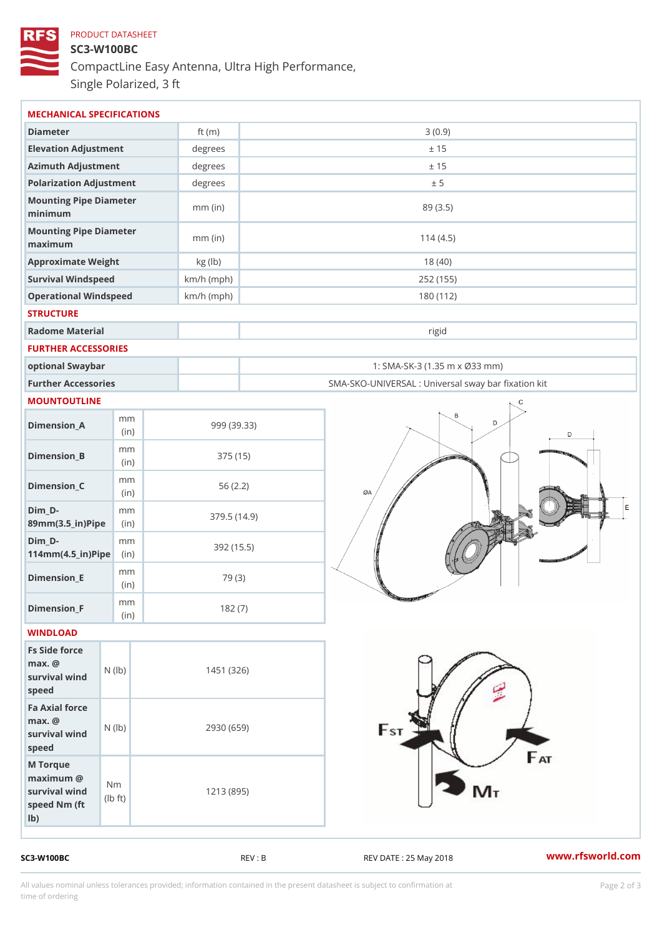## PRODUCT DATASHEET SC3-W100BC CompactLine Easy Antenna, Ultra High Performance, Single Polarized, 3 ft

| MECHANICAL SPECIFICATIONS                                                                                  |              |                                                   |
|------------------------------------------------------------------------------------------------------------|--------------|---------------------------------------------------|
| Diameter                                                                                                   | ft $(m)$     | 3(0.9)                                            |
| Elevation Adjustment                                                                                       | degrees      | ± 15                                              |
| Azimuth Adjustment                                                                                         | degrees      | ± 15                                              |
| Polarization Adjustment                                                                                    | degrees      | ± 5                                               |
| Mounting Pipe Diameter<br>minimum                                                                          | $mm$ (in)    | 89 (3.5)                                          |
| Mounting Pipe Diameter<br>maximum                                                                          | $mm$ (in)    | 114(4.5)                                          |
| Approximate Weight                                                                                         | kg (lb)      | 18(40)                                            |
| Survival Windspeed                                                                                         | $km/h$ (mph) | 252 (155)                                         |
| Operational Windspeed                                                                                      | $km/h$ (mph) | 180 (112)                                         |
| <b>STRUCTURE</b>                                                                                           |              |                                                   |
| Radome Material                                                                                            |              | rigid                                             |
| FURTHER ACCESSORIES                                                                                        |              |                                                   |
| optional Swaybar                                                                                           |              | 1: SMA-SK-3 (1.35 m x Ø33 mm)                     |
| Further Accessories                                                                                        |              | SMA-SKO-UNIVERSAL : Universal sway bar fixation l |
| MOUNTOUTLINE                                                                                               |              |                                                   |
| m m<br>$D$ imension $\_$ A<br>(in)                                                                         |              | 999 (39.33)                                       |
| m m<br>$Dimension_B$<br>(in)                                                                               |              | 375 (15)                                          |
| m m<br>$Dimension_C$<br>(in)                                                                               |              | 56(2.2)                                           |
| $Dim_D - D -$<br>m m<br>89mm (3.5_in) Pi(pine)                                                             |              | 379.5(14.9)                                       |
| $Dim_D - D -$<br>m m<br>$114mm(4.5_{ir})$ $Ri$ p                                                           |              | 392 (15.5)                                        |
| m m<br>$Dimension$ _ $E$<br>(in)                                                                           |              | 79 (3)                                            |
| m m<br>$Dimen sion_F$<br>(in)                                                                              |              | 182(7)                                            |
| WINDLOAD                                                                                                   |              |                                                   |
| Fs Side force<br>$max.$ @<br>survival $wind$ ( $ b)$ )<br>speed                                            |              | 1451 (326)                                        |
| Fa Axial force<br>$max.$ @<br>survival $w \in N$ ( $ b)$ )<br>speed                                        |              | 2930 (659)                                        |
| M Torque<br>$maximum$ @<br>N <sub>m</sub><br>survival wind<br>$1b$ $\uparrow$ t)<br>speed Nm (ft<br>$1b$ ) |              | 1213 (895)                                        |

SC3-W100BC REV : B REV DATE : 25 May 2018 [www.](https://www.rfsworld.com)rfsworld.com